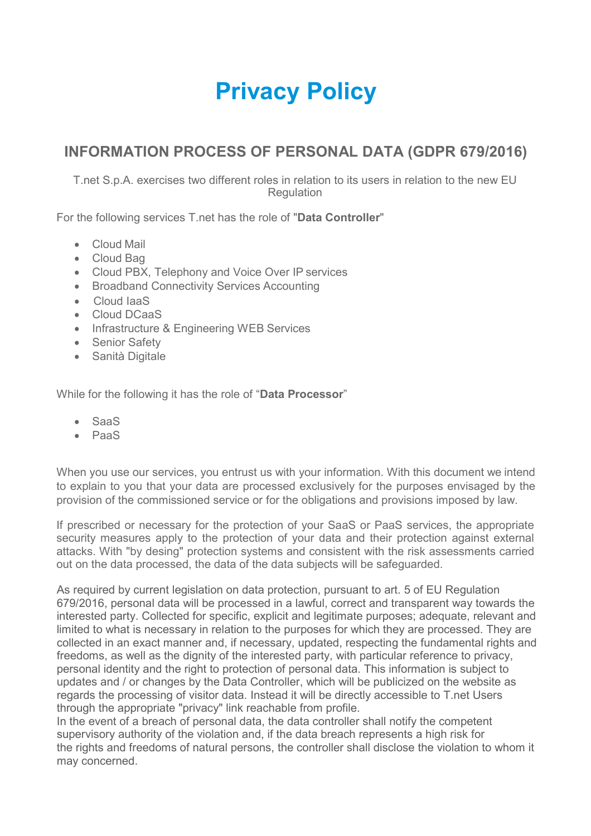# **Privacy Policy**

# **INFORMATION PROCESS OF PERSONAL DATA (GDPR 679/2016)**

T.net S.p.A. exercises two different roles in relation to its users in relation to the new EU **Regulation** 

For the following services T.net has the role of "**Data Controller**"

- Cloud Mail
- Cloud Bag
- Cloud PBX, Telephony and Voice Over IP services
- Broadband Connectivity Services Accounting
- Cloud IaaS
- Cloud DCaaS
- Infrastructure & Engineering WEB Services
- Senior Safety
- Sanità Digitale

While for the following it has the role of "**Data Processor**"

- SaaS
- PaaS

When you use our services, you entrust us with your information. With this document we intend to explain to you that your data are processed exclusively for the purposes envisaged by the provision of the commissioned service or for the obligations and provisions imposed by law.

If prescribed or necessary for the protection of your SaaS or PaaS services, the appropriate security measures apply to the protection of your data and their protection against external attacks. With "by desing" protection systems and consistent with the risk assessments carried out on the data processed, the data of the data subjects will be safeguarded.

As required by current legislation on data protection, pursuant to art. 5 of EU Regulation 679/2016, personal data will be processed in a lawful, correct and transparent way towards the interested party. Collected for specific, explicit and legitimate purposes; adequate, relevant and limited to what is necessary in relation to the purposes for which they are processed. They are collected in an exact manner and, if necessary, updated, respecting the fundamental rights and freedoms, as well as the dignity of the interested party, with particular reference to privacy, personal identity and the right to protection of personal data. This information is subject to updates and / or changes by the Data Controller, which will be publicized on the website as regards the processing of visitor data. Instead it will be directly accessible to T.net Users through the appropriate "privacy" link reachable from profile.

In the event of a breach of personal data, the data controller shall notify the competent supervisory authority of the violation and, if the data breach represents a high risk for the rights and freedoms of natural persons, the controller shall disclose the violation to whom it may concerned.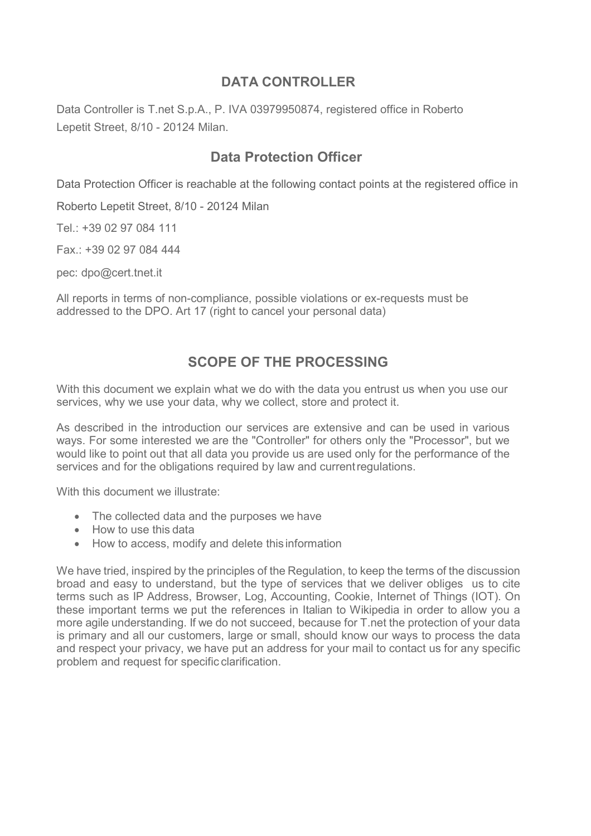#### **DATA CONTROLLER**

Data Controller is T.net S.p.A., P. IVA 03979950874, registered office in Roberto Lepetit Street, 8/10 - 20124 Milan.

### **Data Protection Officer**

Data Protection Officer is reachable at the following contact points at the registered office in

Roberto Lepetit Street, 8/10 - 20124 Milan

Tel.: +39 02 97 084 111

Fax.: +39 02 97 084 444

pec: [dpo@cert.tnet.it](mailto:dpo@cert.tnet.it)

All reports in terms of non-compliance, possible violations or ex-requests must be addressed to the DPO. Art 17 (right to cancel your personal data)

## **SCOPE OF THE PROCESSING**

With this document we explain what we do with the data you entrust us when you use our services, why we use your data, why we collect, store and protect it.

As described in the introduction our services are extensive and can be used in various ways. For some interested we are the "Controller" for others only the "Processor", but we would like to point out that all data you provide us are used only for the performance of the services and for the obligations required by law and currentregulations.

With this document we illustrate:

- The collected data and the purposes we have
- How to use this data
- How to access, modify and delete this information

We have tried, inspired by the principles of the Regulation, to keep the terms of the discussion broad and easy to understand, but the type of services that we deliver obliges us to cite terms such as IP Address, Browser, Log, Accounting, Cookie, Internet of Things (IOT). On these important terms we put the references in Italian to Wikipedia in order to allow you a more agile understanding. If we do not succeed, because for T.net the protection of your data is primary and all our customers, large or small, should know our ways to process the data and respect your privacy, we have put an address for your mail to contact us for any specific problem and request for specific clarification.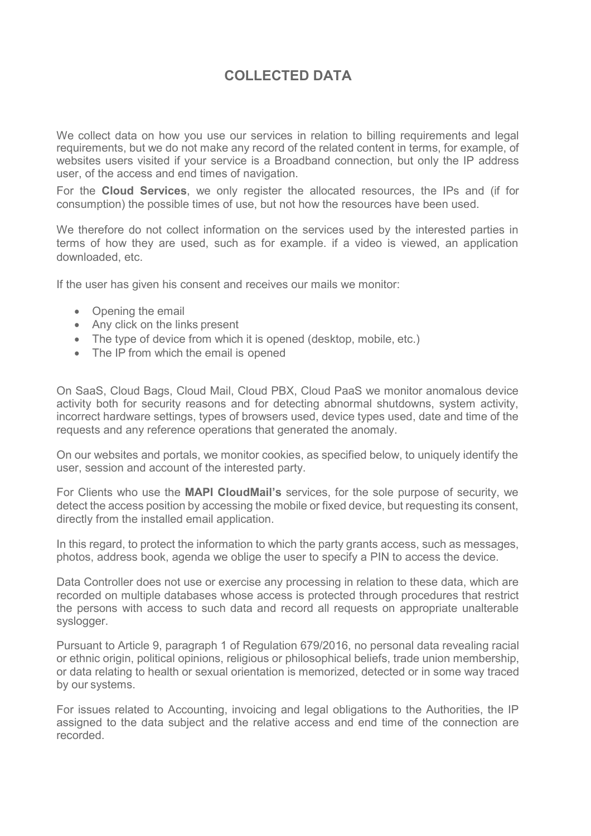# **COLLECTED DATA**

We collect data on how you use our services in relation to billing requirements and legal requirements, but we do not make any record of the related content in terms, for example, of websites users visited if your service is a Broadband connection, but only the IP address user, of the access and end times of navigation.

For the **Cloud Services**, we only register the allocated resources, the IPs and (if for consumption) the possible times of use, but not how the resources have been used.

We therefore do not collect information on the services used by the interested parties in terms of how they are used, such as for example. if a video is viewed, an application downloaded, etc.

If the user has given his consent and receives our mails we monitor:

- Opening the email
- Any click on the links present
- The type of device from which it is opened (desktop, mobile, etc.)
- The IP from which the email is opened

On SaaS, Cloud Bags, Cloud Mail, Cloud PBX, Cloud PaaS we monitor anomalous device activity both for security reasons and for detecting abnormal shutdowns, system activity, incorrect hardware settings, types of browsers used, device types used, date and time of the requests and any reference operations that generated the anomaly.

On our websites and portals, we monitor cookies, as specified below, to uniquely identify the user, session and account of the interested party.

For Clients who use the **MAPI CloudMail's** services, for the sole purpose of security, we detect the access position by accessing the mobile or fixed device, but requesting its consent, directly from the installed email application.

In this regard, to protect the information to which the party grants access, such as messages, photos, address book, agenda we oblige the user to specify a PIN to access the device.

Data Controller does not use or exercise any processing in relation to these data, which are recorded on multiple databases whose access is protected through procedures that restrict the persons with access to such data and record all requests on appropriate unalterable syslogger.

Pursuant to Article 9, paragraph 1 of Regulation 679/2016, no personal data revealing racial or ethnic origin, political opinions, religious or philosophical beliefs, trade union membership, or data relating to health or sexual orientation is memorized, detected or in some way traced by our systems.

For issues related to Accounting, invoicing and legal obligations to the Authorities, the IP assigned to the data subject and the relative access and end time of the connection are recorded.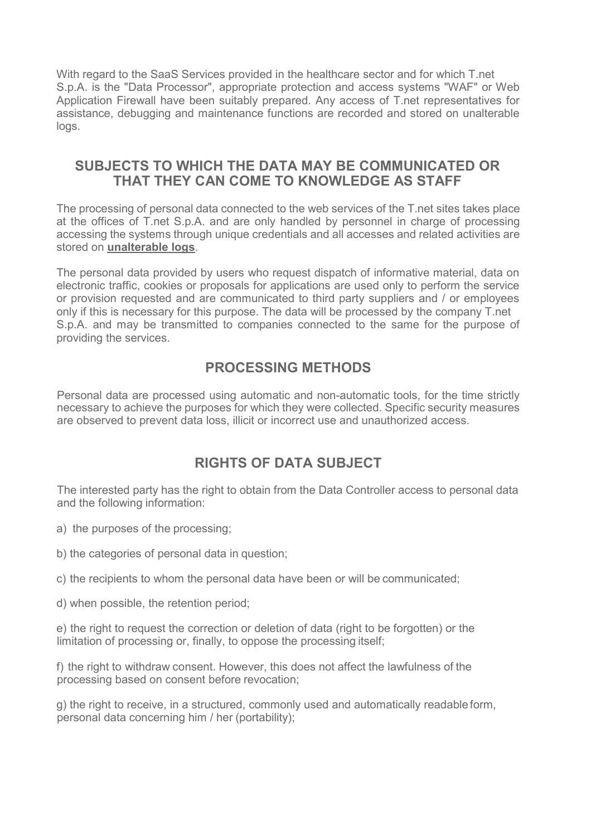With regard to the SaaS Services provided in the healthcare sector and for which T.net S.p.A. is the "Data Processor", appropriate protection and access systems "WAF" or Web Application Firewall have been suitably prepared. Any access of T.net representatives for assistance, debugging and maintenance functions are recorded and stored on unalterable logs.

#### **SUBJECTS TO WHICH THE DATA MAY BE COMMUNICATED OR THAT THEY CAN COME TO KNOWLEDGE AS STAFF**

The processing of personal data connected to the web services of the T.net sites takes place at the offices of T.net S.p.A. and are only handled by personnel in charge of processing accessing the systems through unique credentials and all accesses and related activities are stored on **unalterable logs**.

The personal data provided by users who request dispatch of informative material, data on electronic traffic, cookies or proposals for applications are used only to perform the service or provision requested and are communicated to third party suppliers and / or employees only if this is necessary for this purpose. The data will be processed by the company T.net S.p.A. and may be transmitted to companies connected to the same for the purpose of providing the services.

### **PROCESSING METHODS**

Personal data are processed using automatic and non-automatic tools, for the time strictly necessary to achieve the purposes for which they were collected. Specific security measures are observed to prevent data loss, illicit or incorrect use and unauthorized access.

# **RIGHTS OF DATA SUBJECT**

The interested party has the right to obtain from the Data Controller access to personal data and the following information:

a) the purposes of the processing;

b) the categories of personal data in question;

c) the recipients to whom the personal data have been or will be communicated;

d) when possible, the retention period;

e) the right to request the correction or deletion of data (right to be forgotten) or the limitation of processing or, finally, to oppose the processing itself;

f) the right to withdraw consent. However, this does not affect the lawfulness of the processing based on consent before revocation;

g) the right to receive, in a structured, commonly used and automatically readableform, personal data concerning him / her (portability);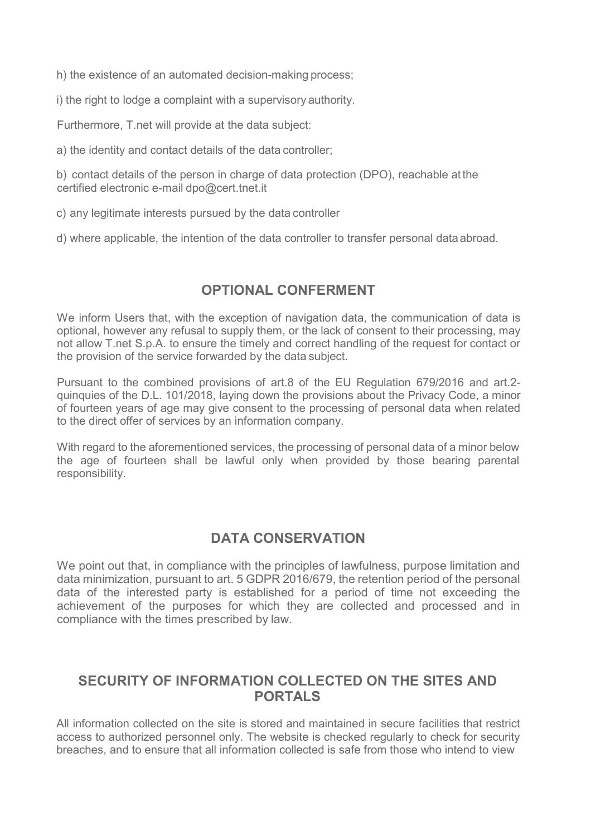h) the existence of an automated decision-making process;

i) the right to lodge a complaint with a supervisory authority.

Furthermore, T.net will provide at the data subject:

a) the identity and contact details of the data controller;

b) contact details of the person in charge of data protection (DPO), reachable at the certified electronic e-mail [dpo@cert.tnet.it](mailto:dpo@cert.tnet.it)

c) any legitimate interests pursued by the data controller

d) where applicable, the intention of the data controller to transfer personal dataabroad.

## **OPTIONAL CONFERMENT**

We inform Users that, with the exception of navigation data, the communication of data is optional, however any refusal to supply them, or the lack of consent to their processing, may not allow T.net S.p.A. to ensure the timely and correct handling of the request for contact or the provision of the service forwarded by the data subject.

Pursuant to the combined provisions of art.8 of the EU Regulation 679/2016 and art.2 quinquies of the D.L. 101/2018, laying down the provisions about the Privacy Code, a minor of fourteen years of age may give consent to the processing of personal data when related to the direct offer of services by an information company.

With regard to the aforementioned services, the processing of personal data of a minor below the age of fourteen shall be lawful only when provided by those bearing parental responsibility.

#### **DATA CONSERVATION**

We point out that, in compliance with the principles of lawfulness, purpose limitation and data minimization, pursuant to art. 5 GDPR 2016/679, the retention period of the personal data of the interested party is established for a period of time not exceeding the achievement of the purposes for which they are collected and processed and in compliance with the times prescribed by law.

#### **SECURITY OF INFORMATION COLLECTED ON THE SITES AND PORTALS**

All information collected on the site is stored and maintained in secure facilities that restrict access to authorized personnel only. The website is checked regularly to check for security breaches, and to ensure that all information collected is safe from those who intend to view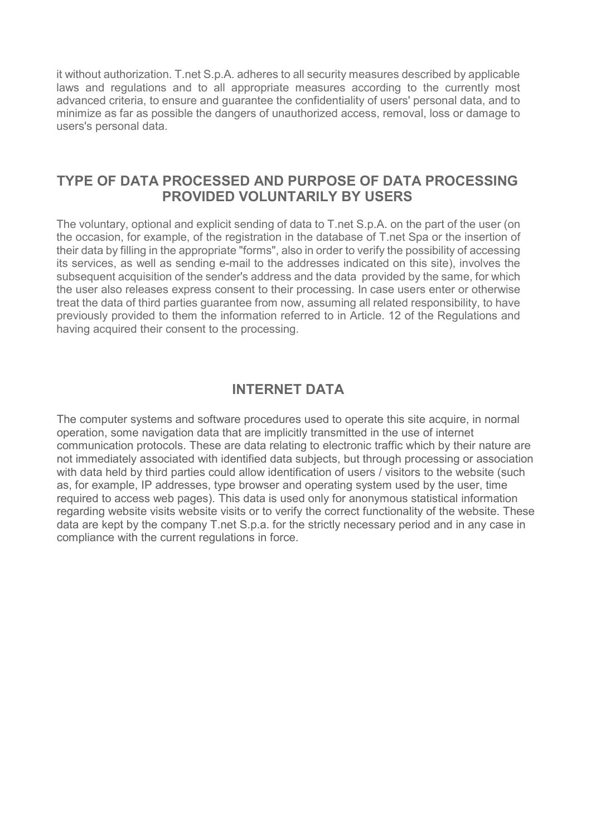it without authorization. T.net S.p.A. adheres to all security measures described by applicable laws and regulations and to all appropriate measures according to the currently most advanced criteria, to ensure and guarantee the confidentiality of users' personal data, and to minimize as far as possible the dangers of unauthorized access, removal, loss or damage to users's personal data.

#### **TYPE OF DATA PROCESSED AND PURPOSE OF DATA PROCESSING PROVIDED VOLUNTARILY BY USERS**

The voluntary, optional and explicit sending of data to T.net S.p.A. on the part of the user (on the occasion, for example, of the registration in the database of T.net Spa or the insertion of their data by filling in the appropriate "forms", also in order to verify the possibility of accessing its services, as well as sending e-mail to the addresses indicated on this site), involves the subsequent acquisition of the sender's address and the data provided by the same, for which the user also releases express consent to their processing. In case users enter or otherwise treat the data of third parties guarantee from now, assuming all related responsibility, to have previously provided to them the information referred to in Article. 12 of the Regulations and having acquired their consent to the processing.

## **INTERNET DATA**

The computer systems and software procedures used to operate this site acquire, in normal operation, some navigation data that are implicitly transmitted in the use of internet communication protocols. These are data relating to electronic traffic which by their nature are not immediately associated with identified data subjects, but through processing or association with data held by third parties could allow identification of users / visitors to the website (such as, for example, IP addresses, type browser and operating system used by the user, time required to access web pages). This data is used only for anonymous statistical information regarding website visits website visits or to verify the correct functionality of the website. These data are kept by the company T.net S.p.a. for the strictly necessary period and in any case in compliance with the current regulations in force.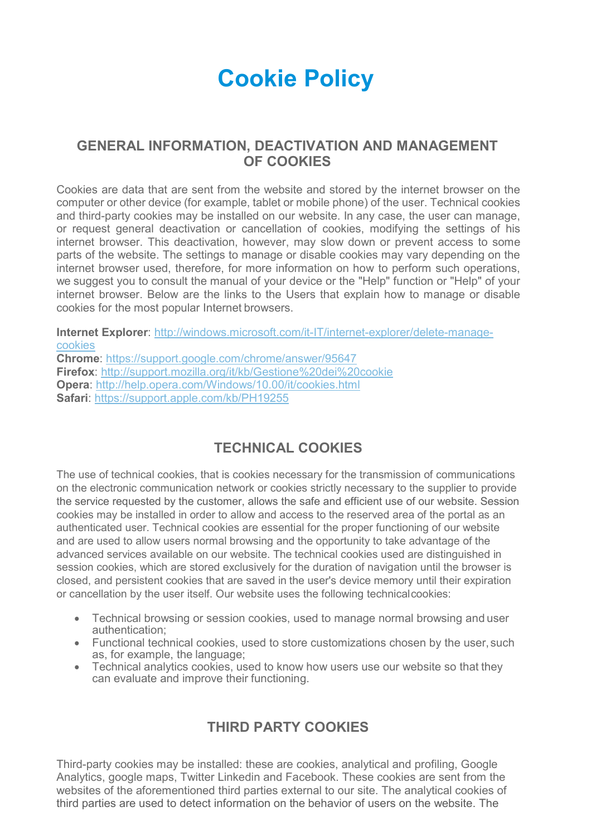# **Cookie Policy**

#### **GENERAL INFORMATION, DEACTIVATION AND MANAGEMENT OF COOKIES**

Cookies are data that are sent from the website and stored by the internet browser on the computer or other device (for example, tablet or mobile phone) of the user. Technical cookies and third-party cookies may be installed on our website. In any case, the user can manage, or request general deactivation or cancellation of cookies, modifying the settings of his internet browser. This deactivation, however, may slow down or prevent access to some parts of the website. The settings to manage or disable cookies may vary depending on the internet browser used, therefore, for more information on how to perform such operations, we suggest you to consult the manual of your device or the "Help" function or "Help" of your internet browser. Below are the links to the Users that explain how to manage or disable cookies for the most popular Internet browsers.

**Internet Explorer**: [http://windows.microsoft.com/it-IT/internet-explorer/delete-manage](http://windows.microsoft.com/it-IT/internet-explorer/delete-manage-cookies)[cookies](http://windows.microsoft.com/it-IT/internet-explorer/delete-manage-cookies)

**Chrome**:<https://support.google.com/chrome/answer/95647> **Firefox**:<http://support.mozilla.org/it/kb/Gestione%20dei%20cookie> **Opera**:<http://help.opera.com/Windows/10.00/it/cookies.html> **Safari**:<https://support.apple.com/kb/PH19255>

# **TECHNICAL COOKIES**

The use of technical cookies, that is cookies necessary for the transmission of communications on the electronic communication network or cookies strictly necessary to the supplier to provide the service requested by the customer, allows the safe and efficient use of our website. Session cookies may be installed in order to allow and access to the reserved area of the portal as an authenticated user. Technical cookies are essential for the proper functioning of our website and are used to allow users normal browsing and the opportunity to take advantage of the advanced services available on our website. The technical cookies used are distinguished in session cookies, which are stored exclusively for the duration of navigation until the browser is closed, and persistent cookies that are saved in the user's device memory until their expiration or cancellation by the user itself. Our website uses the following technicalcookies:

- Technical browsing or session cookies, used to manage normal browsing and user authentication;
- Functional technical cookies, used to store customizations chosen by the user, such as, for example, the language;
- Technical analytics cookies, used to know how users use our website so that they can evaluate and improve their functioning.

# **THIRD PARTY COOKIES**

Third-party cookies may be installed: these are cookies, analytical and profiling, Google Analytics, google maps, Twitter Linkedin and Facebook. These cookies are sent from the websites of the aforementioned third parties external to our site. The analytical cookies of third parties are used to detect information on the behavior of users on the website. The